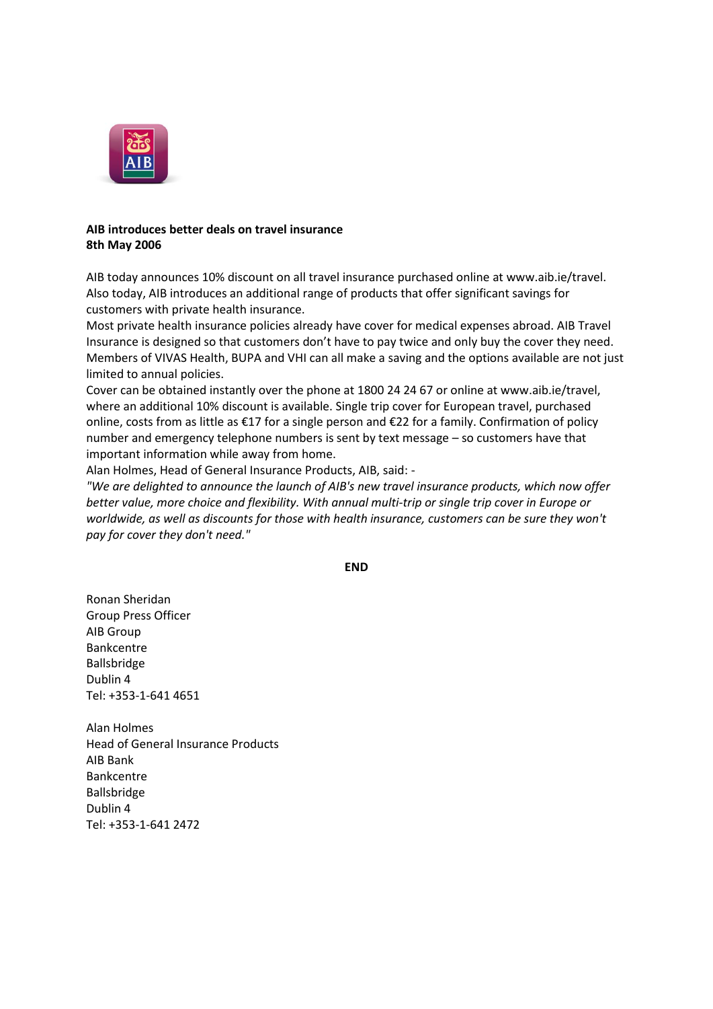

## **AIB introduces better deals on travel insurance 8th May 2006**

AIB today announces 10% discount on all travel insurance purchased online at www.aib.ie/travel. Also today, AIB introduces an additional range of products that offer significant savings for customers with private health insurance.

Most private health insurance policies already have cover for medical expenses abroad. AIB Travel Insurance is designed so that customers don't have to pay twice and only buy the cover they need. Members of VIVAS Health, BUPA and VHI can all make a saving and the options available are not just limited to annual policies.

Cover can be obtained instantly over the phone at 1800 24 24 67 or online at www.aib.ie/travel, where an additional 10% discount is available. Single trip cover for European travel, purchased online, costs from as little as €17 for a single person and €22 for a family. Confirmation of policy number and emergency telephone numbers is sent by text message – so customers have that important information while away from home.

Alan Holmes, Head of General Insurance Products, AIB, said: -

*"We are delighted to announce the launch of AIB's new travel insurance products, which now offer better value, more choice and flexibility. With annual multi-trip or single trip cover in Europe or worldwide, as well as discounts for those with health insurance, customers can be sure they won't pay for cover they don't need."*

**END**

Ronan Sheridan Group Press Officer AIB Group Bankcentre Ballsbridge Dublin 4 Tel: +353-1-641 4651

Alan Holmes Head of General Insurance Products AIB Bank Bankcentre Ballsbridge Dublin 4 Tel: +353-1-641 2472